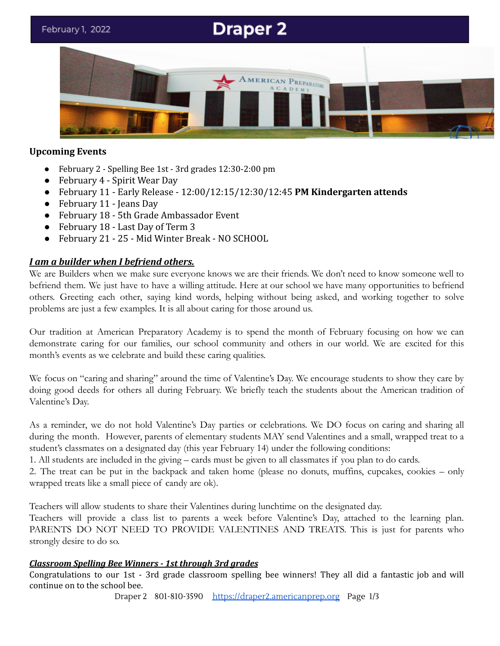# **Draper 2**



## **Upcoming Events**

- February 2 Spelling Bee 1st 3rd grades 12:30-2:00 pm
- February 4 Spirit Wear Day
- February 11 Early Release 12:00/12:15/12:30/12:45 **PM Kindergarten attends**
- February 11 Jeans Day
- February 18 5th Grade Ambassador Event
- February 18 Last Day of Term 3
- February 21 25 Mid Winter Break NO SCHOOL

# *I am a builder when I befriend others.*

We are Builders when we make sure everyone knows we are their friends. We don't need to know someone well to befriend them. We just have to have a willing attitude. Here at our school we have many opportunities to befriend others. Greeting each other, saying kind words, helping without being asked, and working together to solve problems are just a few examples. It is all about caring for those around us.

Our tradition at American Preparatory Academy is to spend the month of February focusing on how we can demonstrate caring for our families, our school community and others in our world. We are excited for this month's events as we celebrate and build these caring qualities.

We focus on "caring and sharing" around the time of Valentine's Day. We encourage students to show they care by doing good deeds for others all during February. We briefly teach the students about the American tradition of Valentine's Day.

As a reminder, we do not hold Valentine's Day parties or celebrations. We DO focus on caring and sharing all during the month. However, parents of elementary students MAY send Valentines and a small, wrapped treat to a student's classmates on a designated day (this year February 14) under the following conditions:

1. All students are included in the giving – cards must be given to all classmates if you plan to do cards.

2. The treat can be put in the backpack and taken home (please no donuts, muffins, cupcakes, cookies – only wrapped treats like a small piece of candy are ok).

Teachers will allow students to share their Valentines during lunchtime on the designated day.

Teachers will provide a class list to parents a week before Valentine's Day, attached to the learning plan. PARENTS DO NOT NEED TO PROVIDE VALENTINES AND TREATS. This is just for parents who strongly desire to do so.

# *Classroom Spelling Bee Winners - 1st through 3rd grades*

Congratulations to our 1st - 3rd grade classroom spelling bee winners! They all did a fantastic job and will continue on to the school bee.

Draper 2 801-810-3590 [https://draper2.americanprep.org](https://draper2.americanprep.org/) Page 1/3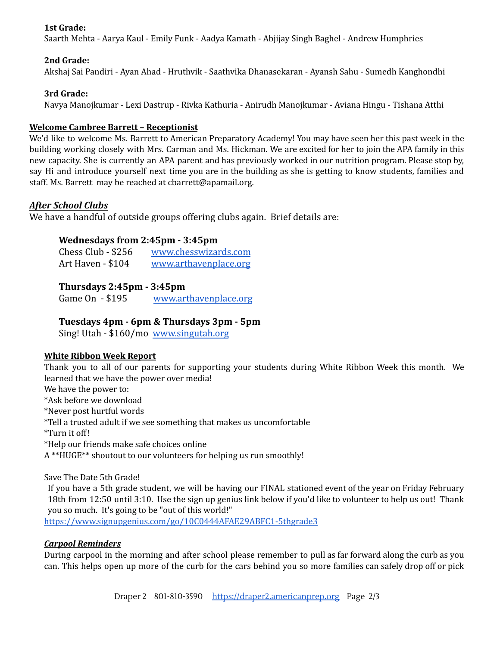## **1st Grade:**

Saarth Mehta - Aarya Kaul - Emily Funk - Aadya Kamath - Abjijay Singh Baghel - Andrew Humphries

#### **2nd Grade:**

Akshaj Sai Pandiri - Ayan Ahad - Hruthvik - Saathvika Dhanasekaran - Ayansh Sahu - Sumedh Kanghondhi

#### **3rd Grade:**

Navya Manojkumar - Lexi Dastrup - Rivka Kathuria - Anirudh Manojkumar - Aviana Hingu - Tishana Atthi

#### **Welcome Cambree Barrett – Receptionist**

We'd like to welcome Ms. Barrett to American Preparatory Academy! You may have seen her this past week in the building working closely with Mrs. Carman and Ms. Hickman. We are excited for her to join the APA family in this new capacity. She is currently an APA parent and has previously worked in our nutrition program. Please stop by, say Hi and introduce yourself next time you are in the building as she is getting to know students, families and staff. Ms. Barrett may be reached at cbarrett@apamail.org.

#### *After School Clubs*

We have a handful of outside groups offering clubs again. Brief details are:

### **Wednesdays from 2:45pm - 3:45pm**

| Chess Club - \$256 | www.chesswizards.com  |
|--------------------|-----------------------|
| Art Haven - \$104  | www.arthavenplace.org |

## **Thursdays 2:45pm - 3:45pm**

Game On - \$195 [www.arthavenplace.org](http://www.arthavenplace.org)

## **Tuesdays 4pm - 6pm & Thursdays 3pm - 5pm**

Sing! Utah - \$160/mo [www.singutah.org](http://www.singutah.org)

#### **White Ribbon Week Report**

Thank you to all of our parents for supporting your students during White Ribbon Week this month. We learned that we have the power over media! We have the power to: \*Ask before we download \*Never post hurtful words \*Tell a trusted adult if we see something that makes us uncomfortable \*Turn it off! \*Help our friends make safe choices online A \*\*HUGE\*\* shoutout to our volunteers for helping us run smoothly!

Save The Date 5th Grade!

If you have a 5th grade student, we will be having our FINAL stationed event of the year on Friday February 18th from 12:50 until 3:10. Use the sign up genius link below if you'd like to volunteer to help us out! Thank you so much. It's going to be "out of this world!"

<https://www.signupgenius.com/go/10C0444AFAE29ABFC1-5thgrade3>

#### *Carpool Reminders*

During carpool in the morning and after school please remember to pull as far forward along the curb as you can. This helps open up more of the curb for the cars behind you so more families can safely drop off or pick